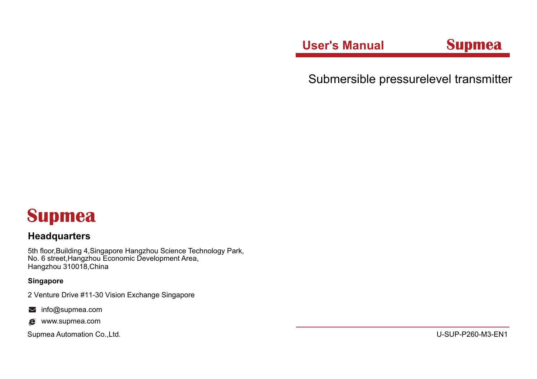**User's Manual Supmea** 

Submersible pressurelevel transmitter

# **Supmea**

### **Headquarters**

5th floor,Building 4,Singapore Hangzhou Science Technology Park, No. 6 street,Hangzhou Economic Development Area, Hangzhou 310018,China

#### **Singapore**

2 Venture Drive #11-30 Vision Exchange Singapore

- $\blacksquare$  info@supmea.com
- $\bullet$  www.supmea.com

Supmea Automation Co.,Ltd. U-SUP-P260-M3-EN1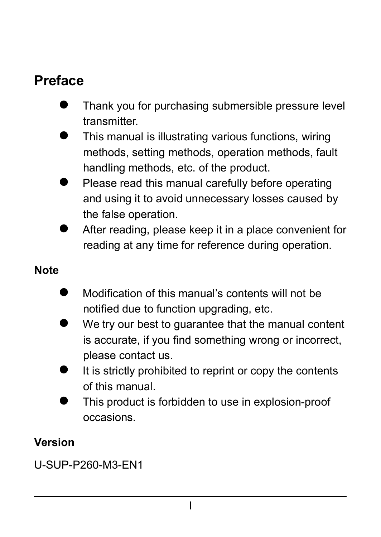### **Preface**

- Thank you for purchasing submersible pressure level transmitter.
- This manual is illustrating various functions, wiring methods, setting methods, operation methods, fault handling methods, etc. of the product.
- Please read this manual carefully before operating and using it to avoid unnecessary losses caused by the false operation.
- After reading, please keep it in a place convenient for reading at any time for reference during operation.

#### **Note**

- Modification of this manual's contents will not be notified due to function upgrading, etc.
- We try our best to guarantee that the manual content is accurate, if you find something wrong or incorrect. please contact us.
- It is strictly prohibited to reprint or copy the contents of this manual.
- This product is forbidden to use in explosion-proof occasions.

#### **Version**

U-SUP-P260-M3-EN1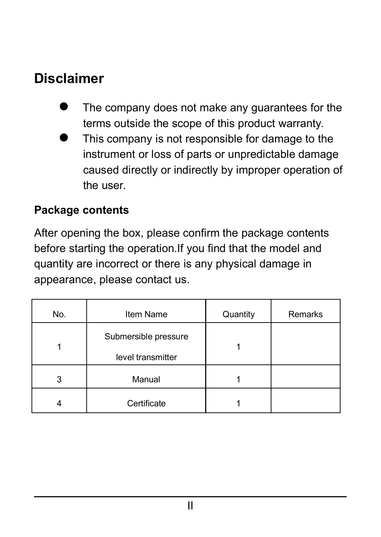### **Disclaimer**

- The company does not make any guarantees for the terms outside the scope of this product warranty.
- This company is not responsible for damage to the instrument or loss of parts or unpredictable damage caused directly or indirectly by improper operation of the user.

#### **Package contents**

After opening the box, please confirm the package contents before starting the operation. If you find that the model and quantity are incorrect or there is any physical damage in appearance, please contact us.

| No. | Item Name                                 | Quantity | Remarks |
|-----|-------------------------------------------|----------|---------|
|     | Submersible pressure<br>level transmitter |          |         |
| 3   | Manual                                    |          |         |
|     | Certificate                               |          |         |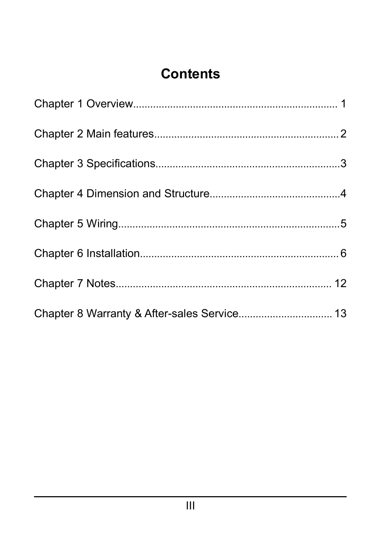# **Contents**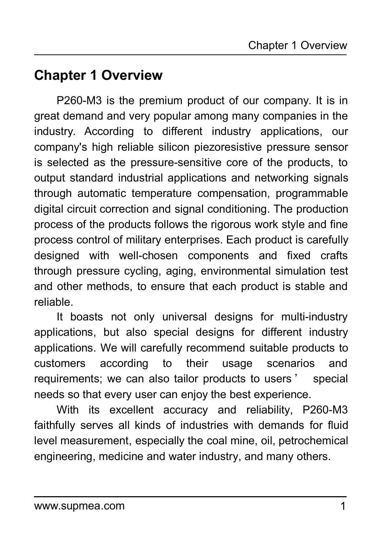### <span id="page-4-0"></span>**Chapter 1 Overview**

P260-M3 is the premium product of our company. It is in great demand and very popular among many companies in the industry. According to different industry applications, our company's high reliable silicon piezoresistive pressure sensor is selected as the pressure-sensitive core of the products, to output standard industrial applications and networking signals through automatic temperature compensation, programmable digital circuit correction and signal conditioning. The production process of the products follows the rigorous work style and fine process control of military enterprises. Each product is carefully designed with well-chosen components and fixed crafts through pressure cycling, aging, environmental simulation test and other methods, to ensure that each product is stable and reliable.

It boasts not only universal designs for multi-industry applications, but also special designs for different industry applications. We will carefully recommend suitable products to customers according to their usage scenarios and requirements; we can also tailor products to users' special needs so that every user can enjoy the best experience.

With its excellent accuracy and reliability, P260-M3 faithfully serves all kinds of industries with demands for fluid level measurement, especially the coal mine, oil, petrochemical engineering, medicine and water industry, and many others.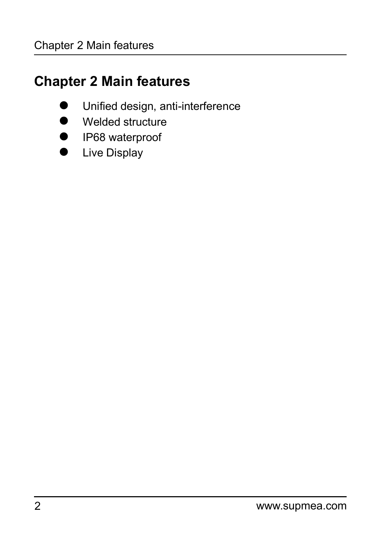# <span id="page-5-0"></span>**Chapter 2 Main features**

- Unified design, anti-interference
- Welded structure
- **IP68** waterproof
- **•** Live Display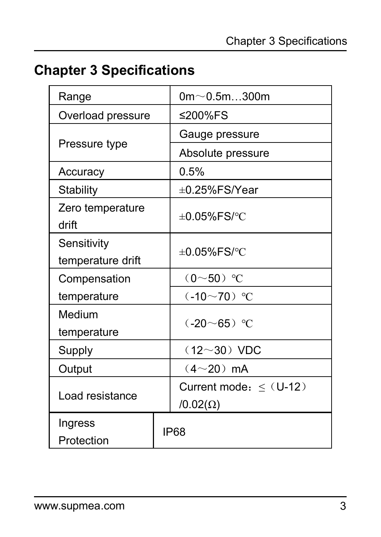# <span id="page-6-0"></span>**Chapter 3 Specifications**

| Range                            | $0m \sim 0.5m300m$                             |
|----------------------------------|------------------------------------------------|
| Overload pressure                | ≤200%FS                                        |
|                                  | Gauge pressure                                 |
| Pressure type                    | Absolute pressure                              |
| Accuracy                         | 0.5%                                           |
| Stability                        | ±0.25%FS/Year                                  |
| Zero temperature<br>drift        | $\pm 0.05\%$ FS/°C                             |
| Sensitivity<br>temperature drift | $\pm 0.05\%$ FS/°C                             |
| Compensation                     | $(0 \sim 50)$ °C                               |
| temperature                      | $(.10 \sim 70)$ °C                             |
| Medium<br>temperature            | $(-20 - 65)$ °C                                |
| Supply                           | $(12 - 30) VDC$                                |
| Output                           | $(4{\sim}20)$ mA                               |
| Load resistance                  | Current mode: $\leq$ (U-12)<br>$/0.02(\Omega)$ |
| Ingress<br>Protection            | IP68                                           |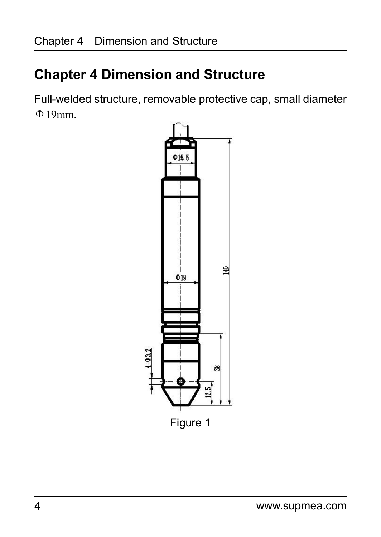# <span id="page-7-0"></span>**Chapter 4 Dimension and Structure**

Full-welded structure, removable protective cap, small diameter Φ19mm.

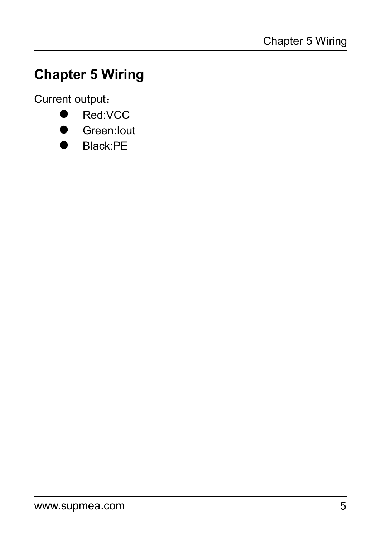# <span id="page-8-0"></span>**Chapter 5 Wiring**

Current output:

- Red:VCC
- **Green:Iout**
- Black:PE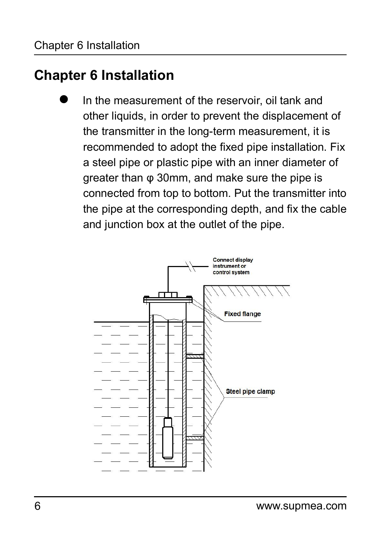### <span id="page-9-0"></span>**Chapter 6 Installation**

 In the measurement of the reservoir, oil tank and other liquids, in order to prevent the displacement of the transmitter in the long-term measurement, it is recommended to adopt the fixed pipe installation. Fix a steel pipe or plastic pipe with an inner diameter of greater than φ 30mm, and make sure the pipe is connected from top to bottom. Put the transmitter into the pipe at the corresponding depth, and fix the cable and junction box at the outlet of the pipe.

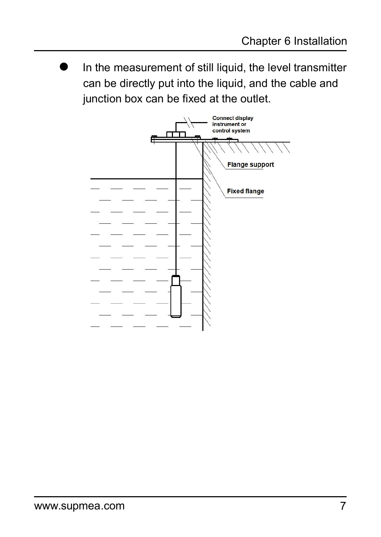In the measurement of still liquid, the level transmitter can be directly put into the liquid, and the cable and junction box can be fixed at the outlet.

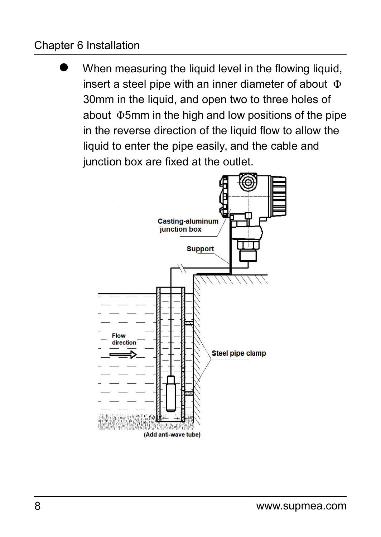#### Chapter 6 Installation

When measuring the liquid level in the flowing liquid, insert a steel pipe with an inner diameter of about  $\Phi$ 30mm in the liquid, and open two to three holes of about Φ5mm in the high and low positions of the pipe in the reverse direction of the liquid flow to allow the liquid to enter the pipe easily, and the cable and junction box are fixed at the outlet.

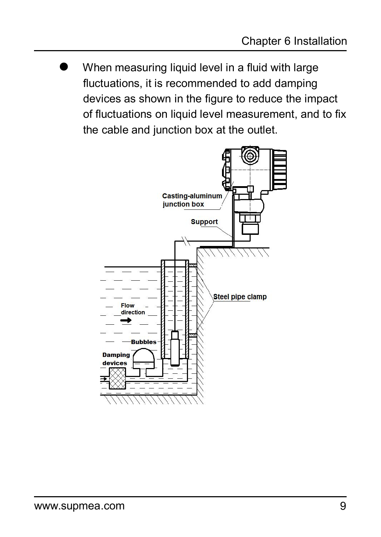When measuring liquid level in a fluid with large fluctuations, it is recommended to add damping devices as shown in the figure to reduce the impact of fluctuations on liquid level measurement, and to fix the cable and junction box at the outlet.

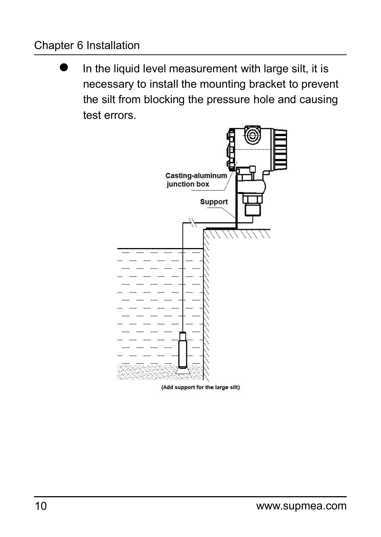#### Chapter 6 Installation

 In the liquid level measurement with large silt, it is necessary to install the mounting bracket to prevent the silt from blocking the pressure hole and causing test errors.

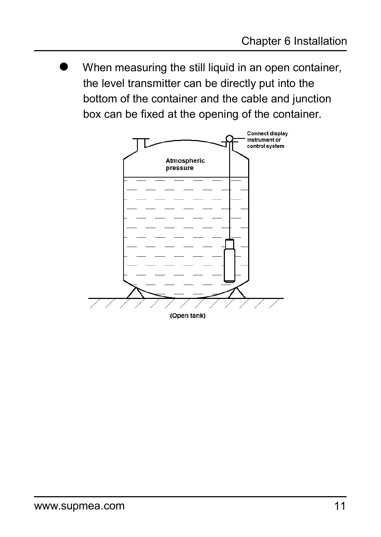When measuring the still liquid in an open container, the level transmitter can be directly put into the bottom of the container and the cable and junction box can be fixed at the opening of the container.

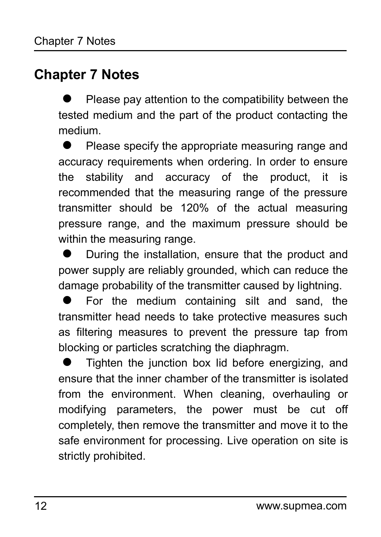### <span id="page-15-0"></span>**Chapter 7 Notes**

 Please pay attention to the compatibility between the tested medium and the part of the product contacting the medium.

 Please specify the appropriate measuring range and accuracy requirements when ordering. In order to ensure the stability and accuracy of the product, it is recommended that the measuring range of the pressure transmitter should be 120% of the actual measuring pressure range, and the maximum pressure should be within the measuring range.

 During the installation, ensure that the product and power supply are reliably grounded, which can reduce the damage probability of the transmitter caused by lightning.

 For the medium containing silt and sand, the transmitter head needs to take protective measures such as filtering measures to prevent the pressure tap from blocking or particles scratching the diaphragm.

 $\bullet$  Tighten the junction box lid before energizing, and ensure that the inner chamber of the transmitter is isolated from the environment. When cleaning, overhauling or modifying parameters, the power must be cut off completely, then remove the transmitter and move it to the safe environment for processing. Live operation on site is strictly prohibited.